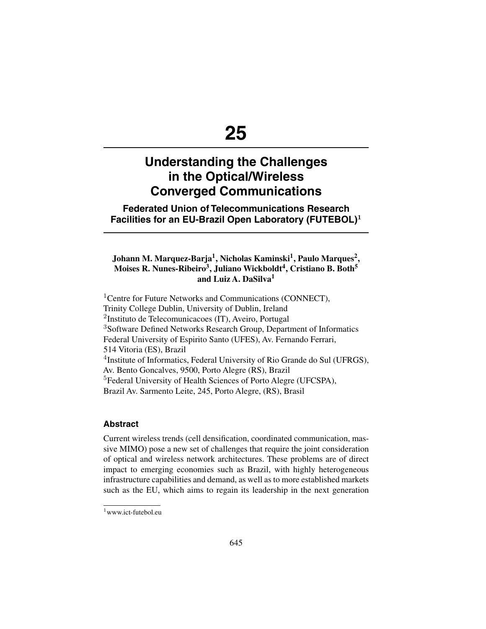# **25**

## **Understanding the Challenges in the Optical/Wireless Converged Communications**

**Federated Union of Telecommunications Research Facilities for an EU-Brazil Open Laboratory (FUTEBOL)<sup>1</sup>**

## **Johann M. Marquez-Barja1, Nicholas Kaminski1, Paulo Marques2,** Moises R. Nunes-Ribeiro<sup>3</sup>, Juliano Wickboldt<sup>4</sup>, Cristiano B. Both<sup>5</sup> **and Luiz A. DaSilva1**

<sup>1</sup>Centre for Future Networks and Communications (CONNECT), Trinity College Dublin, University of Dublin, Ireland <sup>2</sup>Instituto de Telecomunicacoes (IT), Aveiro, Portugal <sup>3</sup>Software Defined Networks Research Group, Department of Informatics Federal University of Espirito Santo (UFES), Av. Fernando Ferrari, 514 Vitoria (ES), Brazil  $4$ Institute of Informatics, Federal University of Rio Grande do Sul (UFRGS), Av. Bento Goncalves, 9500, Porto Alegre (RS), Brazil <sup>5</sup>Federal University of Health Sciences of Porto Alegre (UFCSPA), Brazil Av. Sarmento Leite, 245, Porto Alegre, (RS), Brasil

## **Abstract**

Current wireless trends (cell densification, coordinated communication, massive MIMO) pose a new set of challenges that require the joint consideration of optical and wireless network architectures. These problems are of direct impact to emerging economies such as Brazil, with highly heterogeneous infrastructure capabilities and demand, as well as to more established markets such as the EU, which aims to regain its leadership in the next generation

<sup>1</sup>www.ict-futebol.eu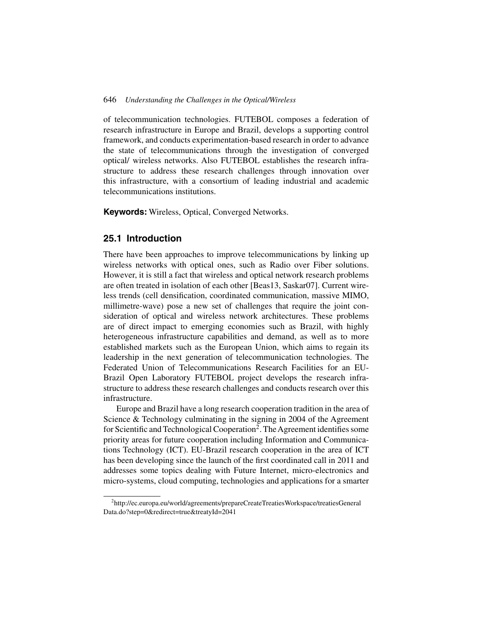of telecommunication technologies. FUTEBOL composes a federation of research infrastructure in Europe and Brazil, develops a supporting control framework, and conducts experimentation-based research in order to advance the state of telecommunications through the investigation of converged optical/ wireless networks. Also FUTEBOL establishes the research infrastructure to address these research challenges through innovation over this infrastructure, with a consortium of leading industrial and academic telecommunications institutions.

**Keywords:** Wireless, Optical, Converged Networks.

#### **25.1 Introduction**

There have been approaches to improve telecommunications by linking up wireless networks with optical ones, such as Radio over Fiber solutions. However, it is still a fact that wireless and optical network research problems are often treated in isolation of each other [Beas13, Saskar07]. Current wireless trends (cell densification, coordinated communication, massive MIMO, millimetre-wave) pose a new set of challenges that require the joint consideration of optical and wireless network architectures. These problems are of direct impact to emerging economies such as Brazil, with highly heterogeneous infrastructure capabilities and demand, as well as to more established markets such as the European Union, which aims to regain its leadership in the next generation of telecommunication technologies. The Federated Union of Telecommunications Research Facilities for an EU-Brazil Open Laboratory FUTEBOL project develops the research infrastructure to address these research challenges and conducts research over this infrastructure.

Europe and Brazil have a long research cooperation tradition in the area of Science & Technology culminating in the signing in 2004 of the Agreement for Scientific and Technological Cooperation<sup>2</sup>. The Agreement identifies some priority areas for future cooperation including Information and Communications Technology (ICT). EU-Brazil research cooperation in the area of ICT has been developing since the launch of the first coordinated call in 2011 and addresses some topics dealing with Future Internet, micro-electronics and micro-systems, cloud computing, technologies and applications for a smarter

<sup>2</sup> http://ec.europa.eu/world/agreements/prepareCreateTreatiesWorkspace/treatiesGeneral Data.do?step=0&redirect=true&treatyId=2041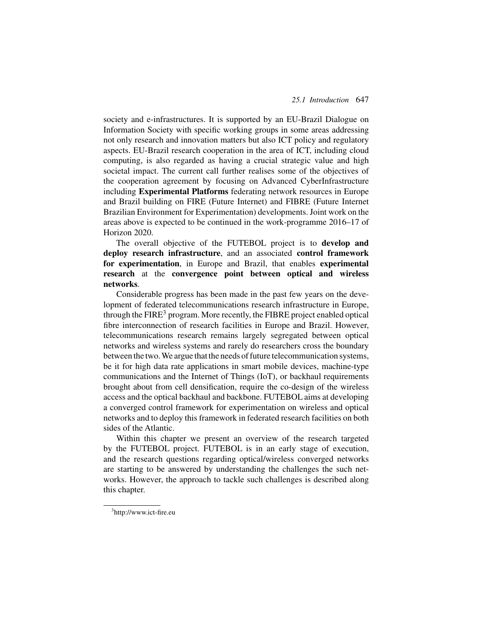society and e-infrastructures. It is supported by an EU-Brazil Dialogue on Information Society with specific working groups in some areas addressing not only research and innovation matters but also ICT policy and regulatory aspects. EU-Brazil research cooperation in the area of ICT, including cloud computing, is also regarded as having a crucial strategic value and high societal impact. The current call further realises some of the objectives of the cooperation agreement by focusing on Advanced CyberInfrastructure including **Experimental Platforms** federating network resources in Europe and Brazil building on FIRE (Future Internet) and FIBRE (Future Internet Brazilian Environment for Experimentation) developments. Joint work on the areas above is expected to be continued in the work-programme 2016–17 of Horizon 2020.

The overall objective of the FUTEBOL project is to **develop and deploy research infrastructure**, and an associated **control framework for experimentation**, in Europe and Brazil, that enables **experimental research** at the **convergence point between optical and wireless networks**.

Considerable progress has been made in the past few years on the development of federated telecommunications research infrastructure in Europe, through the  $FIRE<sup>3</sup>$  program. More recently, the FIBRE project enabled optical fibre interconnection of research facilities in Europe and Brazil. However, telecommunications research remains largely segregated between optical networks and wireless systems and rarely do researchers cross the boundary between the two.We argue that the needs of future telecommunication systems, be it for high data rate applications in smart mobile devices, machine-type communications and the Internet of Things (IoT), or backhaul requirements brought about from cell densification, require the co-design of the wireless access and the optical backhaul and backbone. FUTEBOL aims at developing a converged control framework for experimentation on wireless and optical networks and to deploy this framework in federated research facilities on both sides of the Atlantic.

Within this chapter we present an overview of the research targeted by the FUTEBOL project. FUTEBOL is in an early stage of execution, and the research questions regarding optical/wireless converged networks are starting to be answered by understanding the challenges the such networks. However, the approach to tackle such challenges is described along this chapter.

<sup>&</sup>lt;sup>3</sup>http://www.ict-fire.eu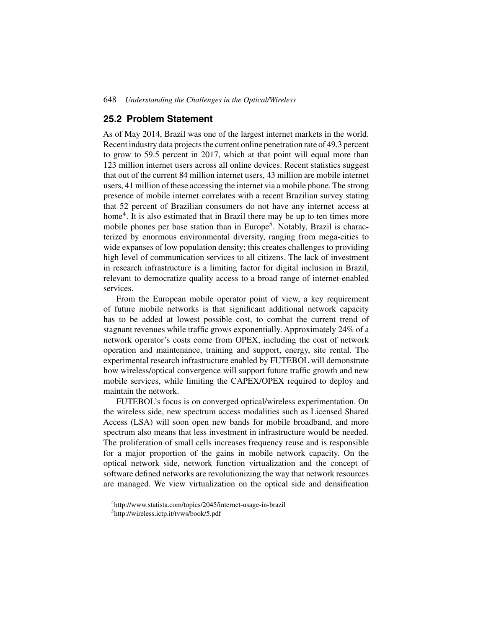## **25.2 Problem Statement**

As of May 2014, Brazil was one of the largest internet markets in the world. Recent industry data projects the current online penetration rate of 49.3 percent to grow to 59.5 percent in 2017, which at that point will equal more than 123 million internet users across all online devices. Recent statistics suggest that out of the current 84 million internet users, 43 million are mobile internet users, 41 million of these accessing the internet via a mobile phone. The strong presence of mobile internet correlates with a recent Brazilian survey stating that 52 percent of Brazilian consumers do not have any internet access at home<sup>4</sup>. It is also estimated that in Brazil there may be up to ten times more mobile phones per base station than in Europe<sup>5</sup>. Notably, Brazil is characterized by enormous environmental diversity, ranging from mega-cities to wide expanses of low population density; this creates challenges to providing high level of communication services to all citizens. The lack of investment in research infrastructure is a limiting factor for digital inclusion in Brazil, relevant to democratize quality access to a broad range of internet-enabled services.

From the European mobile operator point of view, a key requirement of future mobile networks is that significant additional network capacity has to be added at lowest possible cost, to combat the current trend of stagnant revenues while traffic grows exponentially. Approximately 24% of a network operator's costs come from OPEX, including the cost of network operation and maintenance, training and support, energy, site rental. The experimental research infrastructure enabled by FUTEBOL will demonstrate how wireless/optical convergence will support future traffic growth and new mobile services, while limiting the CAPEX/OPEX required to deploy and maintain the network.

FUTEBOL's focus is on converged optical/wireless experimentation. On the wireless side, new spectrum access modalities such as Licensed Shared Access (LSA) will soon open new bands for mobile broadband, and more spectrum also means that less investment in infrastructure would be needed. The proliferation of small cells increases frequency reuse and is responsible for a major proportion of the gains in mobile network capacity. On the optical network side, network function virtualization and the concept of software defined networks are revolutionizing the way that network resources are managed. We view virtualization on the optical side and densification

<sup>4</sup> http://www.statista.com/topics/2045/internet-usage-in-brazil

<sup>5</sup> http://wireless.ictp.it/tvws/book/5.pdf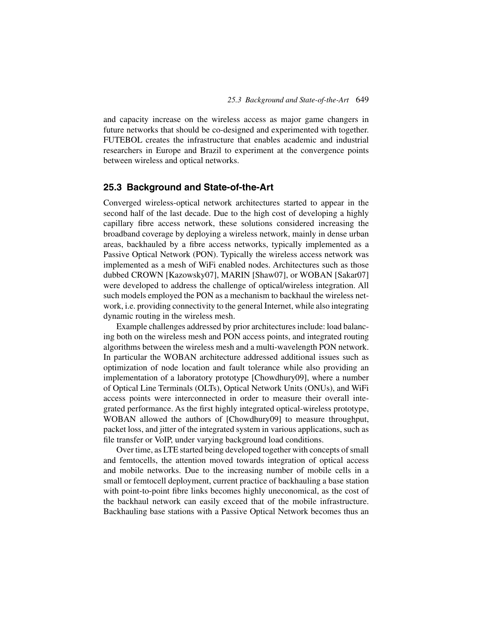and capacity increase on the wireless access as major game changers in future networks that should be co-designed and experimented with together. FUTEBOL creates the infrastructure that enables academic and industrial researchers in Europe and Brazil to experiment at the convergence points between wireless and optical networks.

## **25.3 Background and State-of-the-Art**

Converged wireless-optical network architectures started to appear in the second half of the last decade. Due to the high cost of developing a highly capillary fibre access network, these solutions considered increasing the broadband coverage by deploying a wireless network, mainly in dense urban areas, backhauled by a fibre access networks, typically implemented as a Passive Optical Network (PON). Typically the wireless access network was implemented as a mesh of WiFi enabled nodes. Architectures such as those dubbed CROWN [Kazowsky07], MARIN [Shaw07], or WOBAN [Sakar07] were developed to address the challenge of optical/wireless integration. All such models employed the PON as a mechanism to backhaul the wireless network, i.e. providing connectivity to the general Internet, while also integrating dynamic routing in the wireless mesh.

Example challenges addressed by prior architectures include: load balancing both on the wireless mesh and PON access points, and integrated routing algorithms between the wireless mesh and a multi-wavelength PON network. In particular the WOBAN architecture addressed additional issues such as optimization of node location and fault tolerance while also providing an implementation of a laboratory prototype [Chowdhury09], where a number of Optical Line Terminals (OLTs), Optical Network Units (ONUs), and WiFi access points were interconnected in order to measure their overall integrated performance. As the first highly integrated optical-wireless prototype, WOBAN allowed the authors of [Chowdhury09] to measure throughput, packet loss, and jitter of the integrated system in various applications, such as file transfer or VoIP, under varying background load conditions.

Over time, as LTE started being developed together with concepts of small and femtocells, the attention moved towards integration of optical access and mobile networks. Due to the increasing number of mobile cells in a small or femtocell deployment, current practice of backhauling a base station with point-to-point fibre links becomes highly uneconomical, as the cost of the backhaul network can easily exceed that of the mobile infrastructure. Backhauling base stations with a Passive Optical Network becomes thus an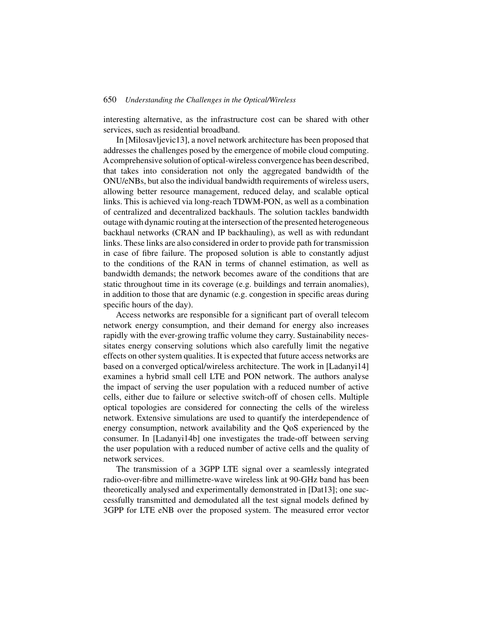interesting alternative, as the infrastructure cost can be shared with other services, such as residential broadband.

In [Milosavljevic13], a novel network architecture has been proposed that addresses the challenges posed by the emergence of mobile cloud computing. Acomprehensive solution of optical-wireless convergence has been described, that takes into consideration not only the aggregated bandwidth of the ONU/eNBs, but also the individual bandwidth requirements of wireless users, allowing better resource management, reduced delay, and scalable optical links. This is achieved via long-reach TDWM-PON, as well as a combination of centralized and decentralized backhauls. The solution tackles bandwidth outage with dynamic routing at the intersection of the presented heterogeneous backhaul networks (CRAN and IP backhauling), as well as with redundant links. These links are also considered in order to provide path for transmission in case of fibre failure. The proposed solution is able to constantly adjust to the conditions of the RAN in terms of channel estimation, as well as bandwidth demands; the network becomes aware of the conditions that are static throughout time in its coverage (e.g. buildings and terrain anomalies), in addition to those that are dynamic (e.g. congestion in specific areas during specific hours of the day).

Access networks are responsible for a significant part of overall telecom network energy consumption, and their demand for energy also increases rapidly with the ever-growing traffic volume they carry. Sustainability necessitates energy conserving solutions which also carefully limit the negative effects on other system qualities. It is expected that future access networks are based on a converged optical/wireless architecture. The work in [Ladanyi14] examines a hybrid small cell LTE and PON network. The authors analyse the impact of serving the user population with a reduced number of active cells, either due to failure or selective switch-off of chosen cells. Multiple optical topologies are considered for connecting the cells of the wireless network. Extensive simulations are used to quantify the interdependence of energy consumption, network availability and the QoS experienced by the consumer. In [Ladanyi14b] one investigates the trade-off between serving the user population with a reduced number of active cells and the quality of network services.

The transmission of a 3GPP LTE signal over a seamlessly integrated radio-over-fibre and millimetre-wave wireless link at 90-GHz band has been theoretically analysed and experimentally demonstrated in [Dat13]; one successfully transmitted and demodulated all the test signal models defined by 3GPP for LTE eNB over the proposed system. The measured error vector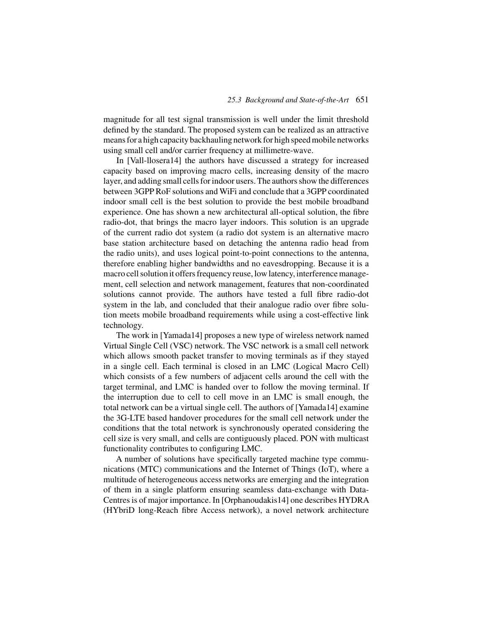magnitude for all test signal transmission is well under the limit threshold defined by the standard. The proposed system can be realized as an attractive means for a high capacity backhauling network for high speed mobile networks using small cell and/or carrier frequency at millimetre-wave.

In [Vall-llosera14] the authors have discussed a strategy for increased capacity based on improving macro cells, increasing density of the macro layer, and adding small cells for indoor users. The authors show the differences between 3GPP RoF solutions and WiFi and conclude that a 3GPP coordinated indoor small cell is the best solution to provide the best mobile broadband experience. One has shown a new architectural all-optical solution, the fibre radio-dot, that brings the macro layer indoors. This solution is an upgrade of the current radio dot system (a radio dot system is an alternative macro base station architecture based on detaching the antenna radio head from the radio units), and uses logical point-to-point connections to the antenna, therefore enabling higher bandwidths and no eavesdropping. Because it is a macro cell solution it offers frequency reuse, low latency, interference management, cell selection and network management, features that non-coordinated solutions cannot provide. The authors have tested a full fibre radio-dot system in the lab, and concluded that their analogue radio over fibre solution meets mobile broadband requirements while using a cost-effective link technology.

The work in [Yamada14] proposes a new type of wireless network named Virtual Single Cell (VSC) network. The VSC network is a small cell network which allows smooth packet transfer to moving terminals as if they stayed in a single cell. Each terminal is closed in an LMC (Logical Macro Cell) which consists of a few numbers of adjacent cells around the cell with the target terminal, and LMC is handed over to follow the moving terminal. If the interruption due to cell to cell move in an LMC is small enough, the total network can be a virtual single cell. The authors of [Yamada14] examine the 3G-LTE based handover procedures for the small cell network under the conditions that the total network is synchronously operated considering the cell size is very small, and cells are contiguously placed. PON with multicast functionality contributes to configuring LMC.

A number of solutions have specifically targeted machine type communications (MTC) communications and the Internet of Things (IoT), where a multitude of heterogeneous access networks are emerging and the integration of them in a single platform ensuring seamless data-exchange with Data-Centres is of major importance. In [Orphanoudakis14] one describes HYDRA (HYbriD long-Reach fibre Access network), a novel network architecture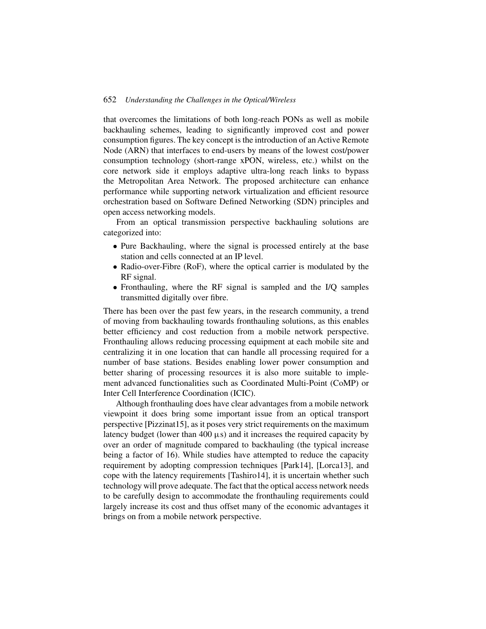that overcomes the limitations of both long-reach PONs as well as mobile backhauling schemes, leading to significantly improved cost and power consumption figures. The key concept is the introduction of an Active Remote Node (ARN) that interfaces to end-users by means of the lowest cost/power consumption technology (short-range xPON, wireless, etc.) whilst on the core network side it employs adaptive ultra-long reach links to bypass the Metropolitan Area Network. The proposed architecture can enhance performance while supporting network virtualization and efficient resource orchestration based on Software Defined Networking (SDN) principles and open access networking models.

From an optical transmission perspective backhauling solutions are categorized into:

- Pure Backhauling, where the signal is processed entirely at the base station and cells connected at an IP level.
- Radio-over-Fibre (RoF), where the optical carrier is modulated by the RF signal.
- Fronthauling, where the RF signal is sampled and the I/Q samples transmitted digitally over fibre.

There has been over the past few years, in the research community, a trend of moving from backhauling towards fronthauling solutions, as this enables better efficiency and cost reduction from a mobile network perspective. Fronthauling allows reducing processing equipment at each mobile site and centralizing it in one location that can handle all processing required for a number of base stations. Besides enabling lower power consumption and better sharing of processing resources it is also more suitable to implement advanced functionalities such as Coordinated Multi-Point (CoMP) or Inter Cell Interference Coordination (ICIC).

Although fronthauling does have clear advantages from a mobile network viewpoint it does bring some important issue from an optical transport perspective [Pizzinat15], as it poses very strict requirements on the maximum latency budget (lower than 400  $\mu$ s) and it increases the required capacity by over an order of magnitude compared to backhauling (the typical increase being a factor of 16). While studies have attempted to reduce the capacity requirement by adopting compression techniques [Park14], [Lorca13], and cope with the latency requirements [Tashiro14], it is uncertain whether such technology will prove adequate. The fact that the optical access network needs to be carefully design to accommodate the fronthauling requirements could largely increase its cost and thus offset many of the economic advantages it brings on from a mobile network perspective.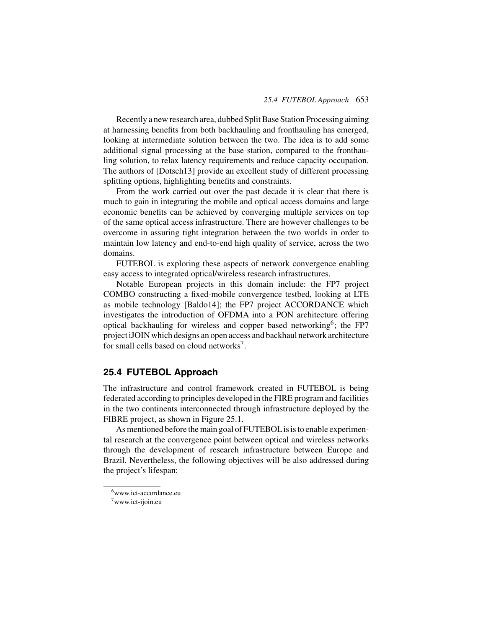Recently a new research area, dubbed Split Base Station Processing aiming at harnessing benefits from both backhauling and fronthauling has emerged, looking at intermediate solution between the two. The idea is to add some additional signal processing at the base station, compared to the fronthauling solution, to relax latency requirements and reduce capacity occupation. The authors of [Dotsch13] provide an excellent study of different processing splitting options, highlighting benefits and constraints.

From the work carried out over the past decade it is clear that there is much to gain in integrating the mobile and optical access domains and large economic benefits can be achieved by converging multiple services on top of the same optical access infrastructure. There are however challenges to be overcome in assuring tight integration between the two worlds in order to maintain low latency and end-to-end high quality of service, across the two domains.

FUTEBOL is exploring these aspects of network convergence enabling easy access to integrated optical/wireless research infrastructures.

Notable European projects in this domain include: the FP7 project COMBO constructing a fixed-mobile convergence testbed, looking at LTE as mobile technology [Baldo14]; the FP7 project ACCORDANCE which investigates the introduction of OFDMA into a PON architecture offering optical backhauling for wireless and copper based networking<sup>6</sup>; the FP7 project iJOIN which designs an open access and backhaul network architecture for small cells based on cloud networks<sup>7</sup>.

## **25.4 FUTEBOL Approach**

The infrastructure and control framework created in FUTEBOL is being federated according to principles developed in the FIRE program and facilities in the two continents interconnected through infrastructure deployed by the FIBRE project, as shown in Figure 25.1.

As mentioned before the main goal of FUTEBOLis is to enable experimental research at the convergence point between optical and wireless networks through the development of research infrastructure between Europe and Brazil. Nevertheless, the following objectives will be also addressed during the project's lifespan:

<sup>6</sup> www.ict-accordance.eu

<sup>&</sup>lt;sup>7</sup>www.ict-ijoin.eu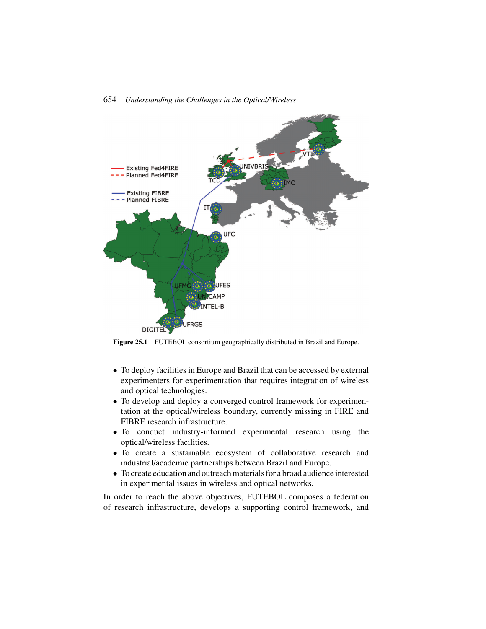

Figure 25.1 FUTEBOL consortium geographically distributed in Brazil and Europe.

- To deploy facilities in Europe and Brazil that can be accessed by external experimenters for experimentation that requires integration of wireless and optical technologies.
- To develop and deploy a converged control framework for experimentation at the optical/wireless boundary, currently missing in FIRE and FIBRE research infrastructure.
- To conduct industry-informed experimental research using the optical/wireless facilities.
- To create a sustainable ecosystem of collaborative research and industrial/academic partnerships between Brazil and Europe.
- To create education and outreach materials for a broad audience interested in experimental issues in wireless and optical networks.

In order to reach the above objectives, FUTEBOL composes a federation of research infrastructure, develops a supporting control framework, and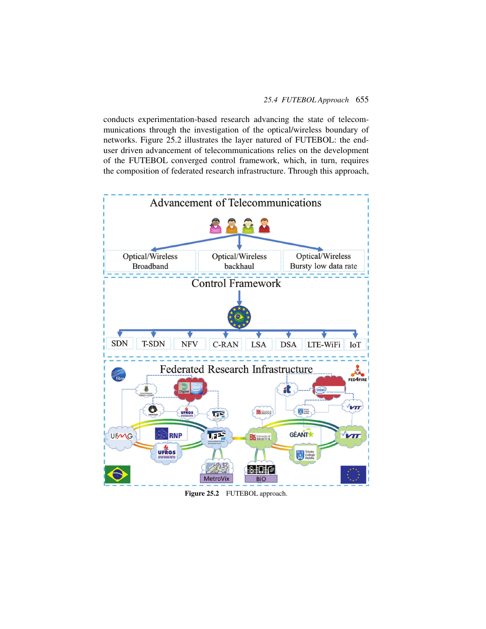conducts experimentation-based research advancing the state of telecommunications through the investigation of the optical/wireless boundary of networks. Figure 25.2 illustrates the layer natured of FUTEBOL: the enduser driven advancement of telecommunications relies on the development of the FUTEBOL converged control framework, which, in turn, requires the composition of federated research infrastructure. Through this approach,



**Figure 25.2** FUTEBOL approach.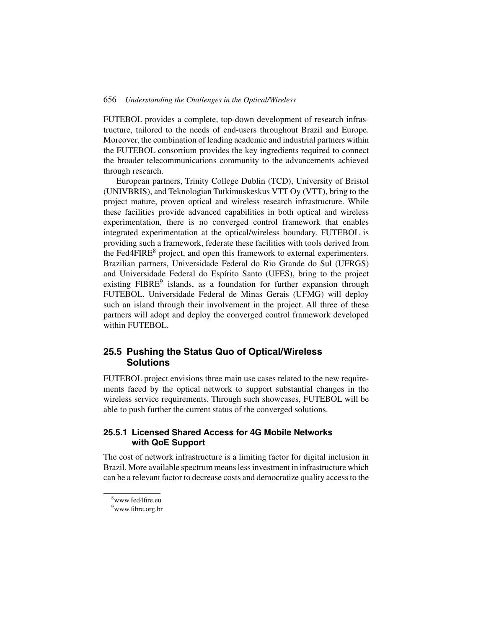FUTEBOL provides a complete, top-down development of research infrastructure, tailored to the needs of end-users throughout Brazil and Europe. Moreover, the combination of leading academic and industrial partners within the FUTEBOL consortium provides the key ingredients required to connect the broader telecommunications community to the advancements achieved through research.

European partners, Trinity College Dublin (TCD), University of Bristol (UNIVBRIS), and Teknologian Tutkimuskeskus VTT Oy (VTT), bring to the project mature, proven optical and wireless research infrastructure. While these facilities provide advanced capabilities in both optical and wireless experimentation, there is no converged control framework that enables integrated experimentation at the optical/wireless boundary. FUTEBOL is providing such a framework, federate these facilities with tools derived from the Fed4FIRE<sup>8</sup> project, and open this framework to external experimenters. Brazilian partners, Universidade Federal do Rio Grande do Sul (UFRGS) and Universidade Federal do Espírito Santo (UFES), bring to the project existing FIBRE<sup>9</sup> islands, as a foundation for further expansion through FUTEBOL. Universidade Federal de Minas Gerais (UFMG) will deploy such an island through their involvement in the project. All three of these partners will adopt and deploy the converged control framework developed within FUTEBOL.

## **25.5 Pushing the Status Quo of Optical/Wireless Solutions**

FUTEBOL project envisions three main use cases related to the new requirements faced by the optical network to support substantial changes in the wireless service requirements. Through such showcases, FUTEBOL will be able to push further the current status of the converged solutions.

## **25.5.1 Licensed Shared Access for 4G Mobile Networks with QoE Support**

The cost of network infrastructure is a limiting factor for digital inclusion in Brazil. More available spectrum means less investment in infrastructure which can be a relevant factor to decrease costs and democratize quality access to the

<sup>8</sup> www.fed4fire.eu

<sup>9</sup> www.fibre.org.br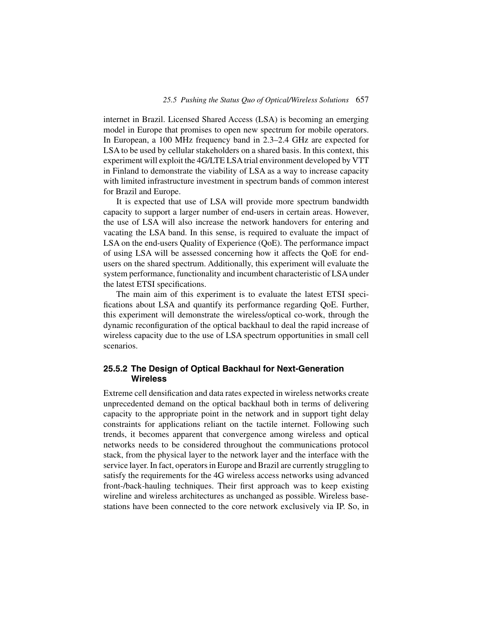internet in Brazil. Licensed Shared Access (LSA) is becoming an emerging model in Europe that promises to open new spectrum for mobile operators. In European, a 100 MHz frequency band in 2.3–2.4 GHz are expected for LSA to be used by cellular stakeholders on a shared basis. In this context, this experiment will exploit the 4G/LTE LSAtrial environment developed by VTT in Finland to demonstrate the viability of LSA as a way to increase capacity with limited infrastructure investment in spectrum bands of common interest for Brazil and Europe.

It is expected that use of LSA will provide more spectrum bandwidth capacity to support a larger number of end-users in certain areas. However, the use of LSA will also increase the network handovers for entering and vacating the LSA band. In this sense, is required to evaluate the impact of LSA on the end-users Quality of Experience (QoE). The performance impact of using LSA will be assessed concerning how it affects the QoE for endusers on the shared spectrum. Additionally, this experiment will evaluate the system performance, functionality and incumbent characteristic of LSA under the latest ETSI specifications.

The main aim of this experiment is to evaluate the latest ETSI specifications about LSA and quantify its performance regarding QoE. Further, this experiment will demonstrate the wireless/optical co-work, through the dynamic reconfiguration of the optical backhaul to deal the rapid increase of wireless capacity due to the use of LSA spectrum opportunities in small cell scenarios.

## **25.5.2 The Design of Optical Backhaul for Next-Generation Wireless**

Extreme cell densification and data rates expected in wireless networks create unprecedented demand on the optical backhaul both in terms of delivering capacity to the appropriate point in the network and in support tight delay constraints for applications reliant on the tactile internet. Following such trends, it becomes apparent that convergence among wireless and optical networks needs to be considered throughout the communications protocol stack, from the physical layer to the network layer and the interface with the service layer. In fact, operators in Europe and Brazil are currently struggling to satisfy the requirements for the 4G wireless access networks using advanced front-/back-hauling techniques. Their first approach was to keep existing wireline and wireless architectures as unchanged as possible. Wireless basestations have been connected to the core network exclusively via IP. So, in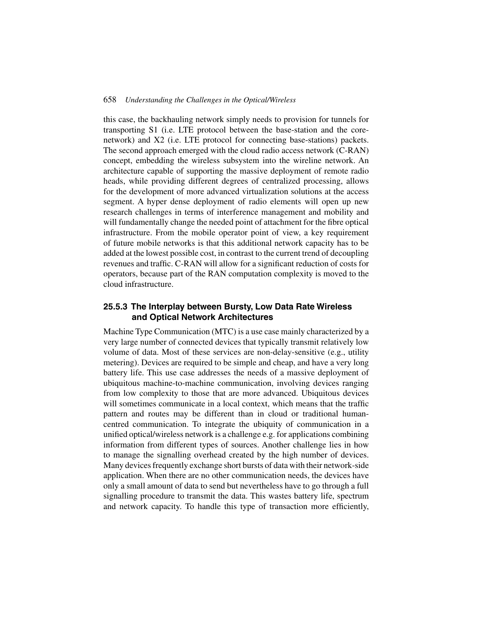this case, the backhauling network simply needs to provision for tunnels for transporting S1 (i.e. LTE protocol between the base-station and the corenetwork) and X2 (i.e. LTE protocol for connecting base-stations) packets. The second approach emerged with the cloud radio access network (C-RAN) concept, embedding the wireless subsystem into the wireline network. An architecture capable of supporting the massive deployment of remote radio heads, while providing different degrees of centralized processing, allows for the development of more advanced virtualization solutions at the access segment. A hyper dense deployment of radio elements will open up new research challenges in terms of interference management and mobility and will fundamentally change the needed point of attachment for the fibre optical infrastructure. From the mobile operator point of view, a key requirement of future mobile networks is that this additional network capacity has to be added at the lowest possible cost, in contrast to the current trend of decoupling revenues and traffic. C-RAN will allow for a significant reduction of costs for operators, because part of the RAN computation complexity is moved to the cloud infrastructure.

## **25.5.3 The Interplay between Bursty, Low Data Rate Wireless and Optical Network Architectures**

Machine Type Communication (MTC) is a use case mainly characterized by a very large number of connected devices that typically transmit relatively low volume of data. Most of these services are non-delay-sensitive (e.g., utility metering). Devices are required to be simple and cheap, and have a very long battery life. This use case addresses the needs of a massive deployment of ubiquitous machine-to-machine communication, involving devices ranging from low complexity to those that are more advanced. Ubiquitous devices will sometimes communicate in a local context, which means that the traffic pattern and routes may be different than in cloud or traditional humancentred communication. To integrate the ubiquity of communication in a unified optical/wireless network is a challenge e.g. for applications combining information from different types of sources. Another challenge lies in how to manage the signalling overhead created by the high number of devices. Many devices frequently exchange short bursts of data with their network-side application. When there are no other communication needs, the devices have only a small amount of data to send but nevertheless have to go through a full signalling procedure to transmit the data. This wastes battery life, spectrum and network capacity. To handle this type of transaction more efficiently,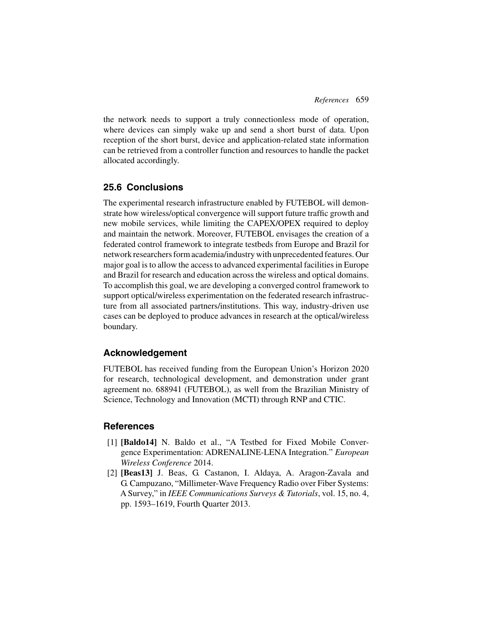the network needs to support a truly connectionless mode of operation, where devices can simply wake up and send a short burst of data. Upon reception of the short burst, device and application-related state information can be retrieved from a controller function and resources to handle the packet allocated accordingly.

## **25.6 Conclusions**

The experimental research infrastructure enabled by FUTEBOL will demonstrate how wireless/optical convergence will support future traffic growth and new mobile services, while limiting the CAPEX/OPEX required to deploy and maintain the network. Moreover, FUTEBOL envisages the creation of a federated control framework to integrate testbeds from Europe and Brazil for network researchers form academia/industry with unprecedented features. Our major goal is to allow the access to advanced experimental facilities in Europe and Brazil for research and education across the wireless and optical domains. To accomplish this goal, we are developing a converged control framework to support optical/wireless experimentation on the federated research infrastructure from all associated partners/institutions. This way, industry-driven use cases can be deployed to produce advances in research at the optical/wireless boundary.

## **Acknowledgement**

FUTEBOL has received funding from the European Union's Horizon 2020 for research, technological development, and demonstration under grant agreement no. 688941 (FUTEBOL), as well from the Brazilian Ministry of Science, Technology and Innovation (MCTI) through RNP and CTIC.

### **References**

- [1] **[Baldo14]** N. Baldo et al., "A Testbed for Fixed Mobile Convergence Experimentation: ADRENALINE-LENA Integration." *European Wireless Conference* 2014.
- [2] **[Beas13]** J. Beas, G. Castanon, I. Aldaya, A. Aragon-Zavala and G. Campuzano, "Millimeter-Wave Frequency Radio over Fiber Systems: A Survey," in *IEEE Communications Surveys & Tutorials*, vol. 15, no. 4, pp. 1593–1619, Fourth Quarter 2013.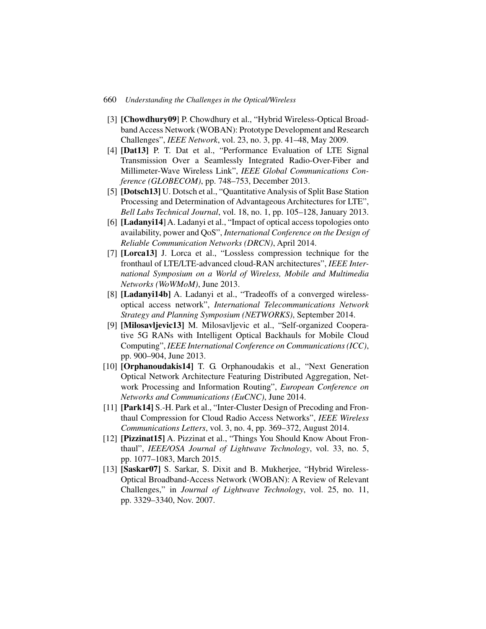- [3] **[Chowdhury09**] P. Chowdhury et al., "Hybrid Wireless-Optical Broadband Access Network (WOBAN): Prototype Development and Research Challenges", *IEEE Network*, vol. 23, no. 3, pp. 41–48, May 2009.
- [4] **[Dat13]** P. T. Dat et al., "Performance Evaluation of LTE Signal Transmission Over a Seamlessly Integrated Radio-Over-Fiber and Millimeter-Wave Wireless Link", *IEEE Global Communications Conference (GLOBECOM)*, pp. 748–753, December 2013.
- [5] **[Dotsch13]** U. Dotsch et al., "Quantitative Analysis of Split Base Station Processing and Determination of Advantageous Architectures for LTE", *Bell Labs Technical Journal*, vol. 18, no. 1, pp. 105–128, January 2013.
- [6] **[Ladanyi14**] A. Ladanyi et al., "Impact of optical access topologies onto availability, power and QoS", *International Conference on the Design of Reliable Communication Networks (DRCN)*, April 2014.
- [7] **[Lorca13]** J. Lorca et al., "Lossless compression technique for the fronthaul of LTE/LTE-advanced cloud-RAN architectures", *IEEE International Symposium on a World of Wireless, Mobile and Multimedia Networks (WoWMoM)*, June 2013.
- [8] **[Ladanyi14b]** A. Ladanyi et al., "Tradeoffs of a converged wirelessoptical access network", *International Telecommunications Network Strategy and Planning Symposium (NETWORKS)*, September 2014.
- [9] **[Milosavljevic13]** M. Milosavljevic et al., "Self-organized Cooperative 5G RANs with Intelligent Optical Backhauls for Mobile Cloud Computing", *IEEE International Conference on Communications (ICC)*, pp. 900–904, June 2013.
- [10] **[Orphanoudakis14]** T. G. Orphanoudakis et al., "Next Generation Optical Network Architecture Featuring Distributed Aggregation, Network Processing and Information Routing", *European Conference on Networks and Communications (EuCNC)*, June 2014.
- [11] **[Park14]** S.-H. Park et al., "Inter-Cluster Design of Precoding and Fronthaul Compression for Cloud Radio Access Networks", *IEEE Wireless Communications Letters*, vol. 3, no. 4, pp. 369–372, August 2014.
- [12] **[Pizzinat15]** A. Pizzinat et al., "Things You Should Know About Fronthaul", *IEEE/OSA Journal of Lightwave Technology*, vol. 33, no. 5, pp. 1077–1083, March 2015.
- [13] **[Saskar07]** S. Sarkar, S. Dixit and B. Mukherjee, "Hybrid Wireless-Optical Broadband-Access Network (WOBAN): A Review of Relevant Challenges," in *Journal of Lightwave Technology*, vol. 25, no. 11, pp. 3329–3340, Nov. 2007.